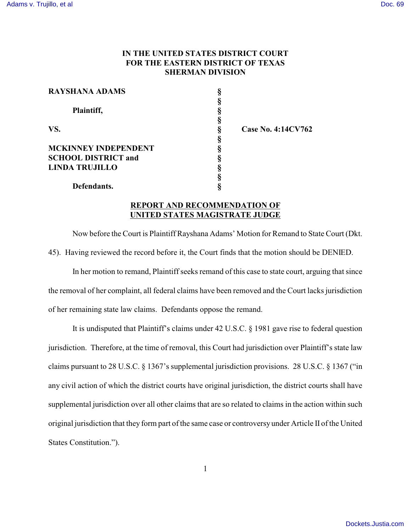## **IN THE UNITED STATES DISTRICT COURT FOR THE EASTERN DISTRICT OF TEXAS SHERMAN DIVISION**

| <b>RAYSHANA ADAMS</b>       |   |
|-----------------------------|---|
|                             |   |
| Plaintiff,                  | ş |
|                             | ş |
| VS.                         | ş |
|                             | § |
| <b>MCKINNEY INDEPENDENT</b> | § |
| <b>SCHOOL DISTRICT and</b>  | ş |
| <b>LINDA TRUJILLO</b>       | § |
|                             | ş |
| Defendants.                 |   |

**VS. § Case No. 4:14CV762**

## **REPORT AND RECOMMENDATION OF UNITED STATES MAGISTRATE JUDGE**

Now before the Court is Plaintiff Rayshana Adams' Motion for Remand to State Court (Dkt. 45). Having reviewed the record before it, the Court finds that the motion should be DENIED.

In her motion to remand, Plaintiff seeks remand of this case to state court, arguing that since the removal of her complaint, all federal claims have been removed and the Court lacks jurisdiction of her remaining state law claims. Defendants oppose the remand.

It is undisputed that Plaintiff's claims under 42 U.S.C. § 1981 gave rise to federal question jurisdiction. Therefore, at the time of removal, this Court had jurisdiction over Plaintiff's state law claims pursuant to 28 U.S.C. § 1367's supplemental jurisdiction provisions. 28 U.S.C. § 1367 ("in any civil action of which the district courts have original jurisdiction, the district courts shall have supplemental jurisdiction over all other claims that are so related to claims in the action within such original jurisdiction that they form part of the same case or controversy under Article II of the United States Constitution.").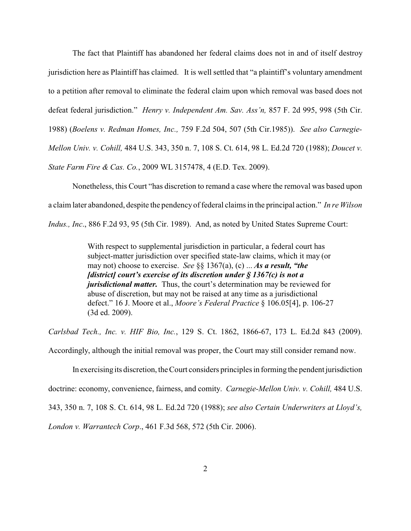The fact that Plaintiff has abandoned her federal claims does not in and of itself destroy jurisdiction here as Plaintiff has claimed. It is well settled that "a plaintiff's voluntary amendment to a petition after removal to eliminate the federal claim upon which removal was based does not defeat federal jurisdiction." *Henry v. Independent Am. Sav. Ass'n,* 857 F. 2d 995, 998 (5th Cir. 1988) (*Boelens v. Redman Homes, Inc.,* 759 F.2d 504, 507 (5th Cir.1985)). *See also Carnegie-Mellon Univ. v. Cohill,* 484 U.S. 343, 350 n. 7, 108 S. Ct. 614, 98 L. Ed.2d 720 (1988); *Doucet v. State Farm Fire & Cas. Co.*, 2009 WL 3157478, 4 (E.D. Tex. 2009).

Nonetheless, this Court "has discretion to remand a case where the removal was based upon a claim later abandoned, despite the pendency of federal claims in the principal action." *In re Wilson Indus., Inc*., 886 F.2d 93, 95 (5th Cir. 1989). And, as noted by United States Supreme Court:

> With respect to supplemental jurisdiction in particular, a federal court has subject-matter jurisdiction over specified state-law claims, which it may (or may not) choose to exercise. *See* §§ 1367(a), (c) ... *As a result, "the [district] court's exercise of its discretion under § 1367(c) is not a jurisdictional matter.* Thus, the court's determination may be reviewed for abuse of discretion, but may not be raised at any time as a jurisdictional defect." 16 J. Moore et al., *Moore's Federal Practice* § 106.05[4], p. 106-27 (3d ed. 2009).

*Carlsbad Tech., Inc. v. HIF Bio, Inc.*, 129 S. Ct. 1862, 1866-67, 173 L. Ed.2d 843 (2009).

Accordingly, although the initial removal was proper, the Court may still consider remand now.

In exercising its discretion, the Court considers principles in forming the pendent jurisdiction doctrine: economy, convenience, fairness, and comity. *Carnegie-Mellon Univ. v. Cohill,* 484 U.S. 343, 350 n. 7, 108 S. Ct. 614, 98 L. Ed.2d 720 (1988); *see also Certain Underwriters at Lloyd's, London v. Warrantech Corp*., 461 F.3d 568, 572 (5th Cir. 2006).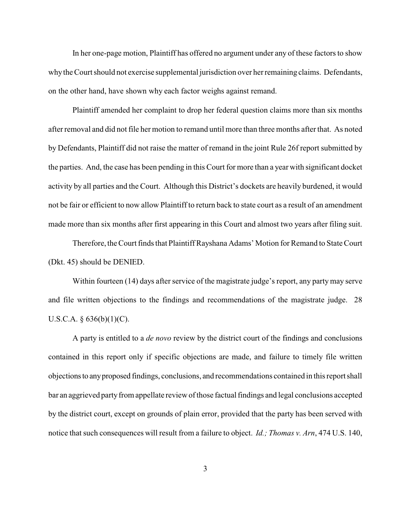In her one-page motion, Plaintiff has offered no argument under any of these factors to show why the Court should not exercise supplemental jurisdiction over her remaining claims. Defendants, on the other hand, have shown why each factor weighs against remand.

Plaintiff amended her complaint to drop her federal question claims more than six months after removal and did not file her motion to remand until more than three months after that. As noted by Defendants, Plaintiff did not raise the matter of remand in the joint Rule 26f report submitted by the parties. And, the case has been pending in this Court for more than a year with significant docket activity by all parties and the Court. Although this District's dockets are heavily burdened, it would not be fair or efficient to now allow Plaintiff to return back to state court as a result of an amendment made more than six months after first appearing in this Court and almost two years after filing suit.

Therefore, the Court finds that Plaintiff Rayshana Adams' Motion for Remand to State Court (Dkt. 45) should be DENIED.

Within fourteen (14) days after service of the magistrate judge's report, any party may serve and file written objections to the findings and recommendations of the magistrate judge. 28 U.S.C.A.  $\S 636(b)(1)(C)$ .

A party is entitled to a *de novo* review by the district court of the findings and conclusions contained in this report only if specific objections are made, and failure to timely file written objections to any proposed findings, conclusions, and recommendations contained in this report shall bar an aggrieved party from appellate review of those factual findings and legal conclusions accepted by the district court, except on grounds of plain error, provided that the party has been served with notice that such consequences will result from a failure to object. *Id.; Thomas v. Arn*, 474 U.S. 140,